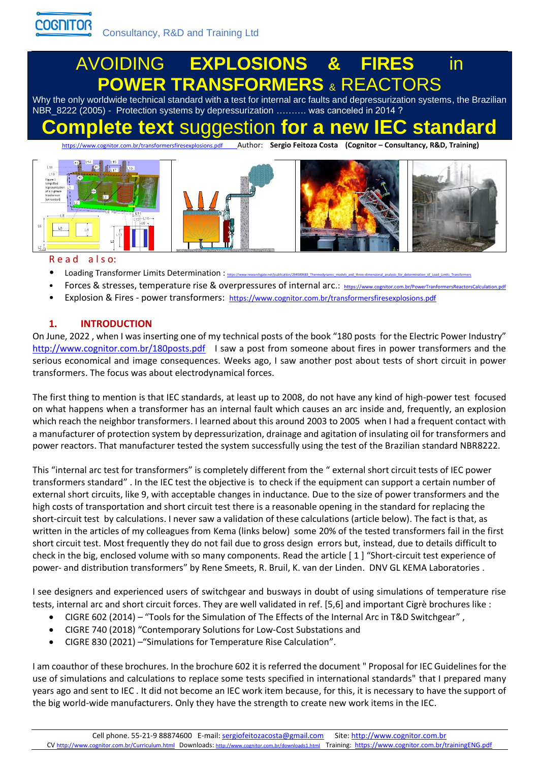## AVOIDING **EXPLOSIONS & FIRES** in **POWER TRANSFORMERS** & REACTORS

Why the only worldwide technical standard with a test for internal arc faults and depressurization systems, the Brazilian NBR\_8222 (2005) - Protection systems by depressurization ………. was canceled in 2014 ?

# **Complete text** suggestion **for a new IEC standard**

<https://www.cognitor.com.br/transformersfiresexplosions.pdf>Author: **Sergio Feitoza Costa (Cognitor – Consultancy, R&D, Training)**



## Read also:

- Loading Transformer Limits Determination : https://www.
- Forces & stresses, temperature rise & overpressures of internal arc.: https://www.co
- Explosion & Fires power transformers: <https://www.cognitor.com.br/transformersfiresexplosions.pdf>

## **1. INTRODUCTION**

On June, 2022 , when I was inserting one of my technical posts of the book "180 posts for the Electric Power Industry" <http://www.cognitor.com.br/180posts.pdf>I saw a post from someone about fires in power transformers and the serious economical and image consequences. Weeks ago, I saw another post about tests of short circuit in power transformers. The focus was about electrodynamical forces.

The first thing to mention is that IEC standards, at least up to 2008, do not have any kind of high-power test focused on what happens when a transformer has an internal fault which causes an arc inside and, frequently, an explosion which reach the neighbor transformers. I learned about this around 2003 to 2005 when I had a frequent contact with a manufacturer of protection system by depressurization, drainage and agitation of insulating oil for transformers and power reactors. That manufacturer tested the system successfully using the test of the Brazilian standard NBR8222.

This "internal arc test for transformers" is completely different from the " external short circuit tests of IEC power transformers standard" . In the IEC test the objective is to check if the equipment can support a certain number of external short circuits, like 9, with acceptable changes in inductance. Due to the size of power transformers and the high costs of transportation and short circuit test there is a reasonable opening in the standard for replacing the short-circuit test by calculations. I never saw a validation of these calculations (article below). The fact is that, as written in the articles of my colleagues from Kema (links below) some 20% of the tested transformers fail in the first short circuit test. Most frequently they do not fail due to gross design errors but, instead, due to details difficult to check in the big, enclosed volume with so many components. Read the article [ 1 ] "Short-circuit test experience of power- and distribution transformers" by Rene Smeets, R. Bruil, K. van der Linden. DNV GL KEMA Laboratories .

I see designers and experienced users of switchgear and busways in doubt of using simulations of temperature rise tests, internal arc and short circuit forces. They are well validated in ref. [5,6] and important Cigrè brochures like :

- CIGRE 602 (2014) "Tools for the Simulation of The Effects of the Internal Arc in T&D Switchgear" ,
- CIGRE 740 (2018) "Contemporary Solutions for Low-Cost Substations and
- CIGRE 830 (2021) –"Simulations for Temperature Rise Calculation".

I am coauthor of these brochures. In the brochure 602 it is referred the document " Proposal for IEC Guidelines for the use of simulations and calculations to replace some tests specified in international standards" that I prepared many years ago and sent to IEC . It did not become an IEC work item because, for this, it is necessary to have the support of the big world-wide manufacturers. Only they have the strength to create new work items in the IEC.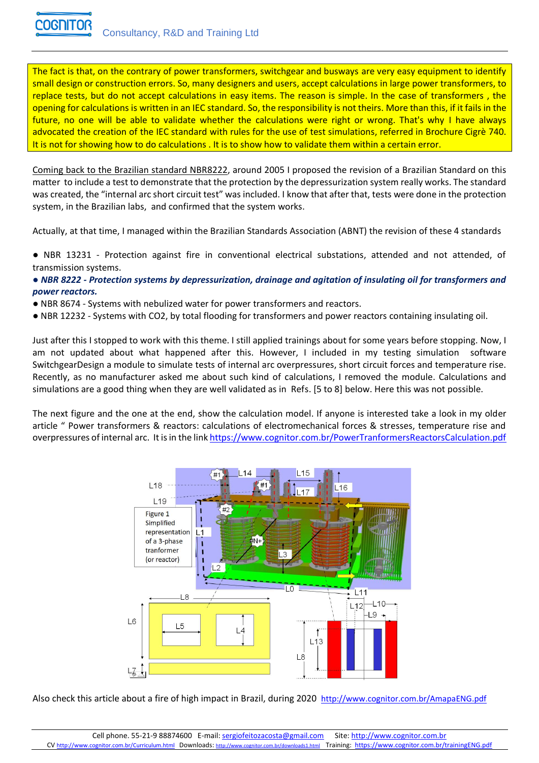

The fact is that, on the contrary of power transformers, switchgear and busways are very easy equipment to identify small design or construction errors. So, many designers and users, accept calculations in large power transformers, to replace tests, but do not accept calculations in easy items. The reason is simple. In the case of transformers , the opening for calculations is written in an IEC standard. So, the responsibility is not theirs. More than this, if it fails in the future, no one will be able to validate whether the calculations were right or wrong. That's why I have always advocated the creation of the IEC standard with rules for the use of test simulations, referred in Brochure Cigrè 740. It is not for showing how to do calculations . It is to show how to validate them within a certain error.

Coming back to the Brazilian standard NBR8222, around 2005 I proposed the revision of a Brazilian Standard on this matter to include a test to demonstrate that the protection by the depressurization system really works. The standard was created, the "internal arc short circuit test" was included. I know that after that, tests were done in the protection system, in the Brazilian labs, and confirmed that the system works.

Actually, at that time, I managed within the Brazilian Standards Association (ABNT) the revision of these 4 standards

● NBR 13231 - Protection against fire in conventional electrical substations, attended and not attended, of transmission systems.

## *● NBR 8222 - Protection systems by depressurization, drainage and agitation of insulating oil for transformers and power reactors.*

- NBR 8674 Systems with nebulized water for power transformers and reactors.
- NBR 12232 Systems with CO2, by total flooding for transformers and power reactors containing insulating oil.

Just after this I stopped to work with this theme. I still applied trainings about for some years before stopping. Now, I am not updated about what happened after this. However, I included in my testing simulation software SwitchgearDesign a module to simulate tests of internal arc overpressures, short circuit forces and temperature rise. Recently, as no manufacturer asked me about such kind of calculations, I removed the module. Calculations and simulations are a good thing when they are well validated as in Refs. [5 to 8] below. Here this was not possible.

The next figure and the one at the end, show the calculation model. If anyone is interested take a look in my older article " Power transformers & reactors: calculations of electromechanical forces & stresses, temperature rise and overpressures of internal arc. It is in the link <https://www.cognitor.com.br/PowerTranformersReactorsCalculation.pdf>



Also check this article about a fire of high impact in Brazil, during 2020 http://www.cognitor.com.br/AmapaENG.pdf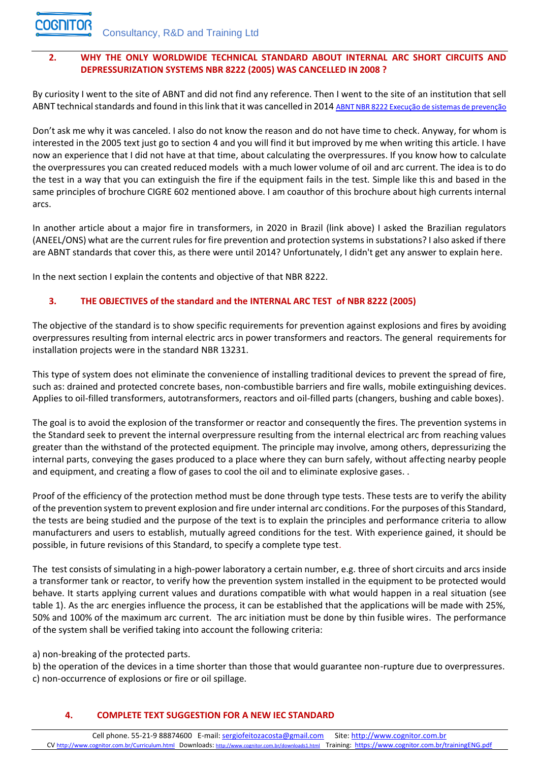## **2. WHY THE ONLY WORLDWIDE TECHNICAL STANDARD ABOUT INTERNAL ARC SHORT CIRCUITS AND DEPRESSURIZATION SYSTEMS NBR 8222 (2005) WAS CANCELLED IN 2008 ?**

By curiosity I went to the site of ABNT and did not find any reference. Then I went to the site of an institution that sell ABNT technical standards and found in this link that it was cancelled in 2014 [ABNT NBR 8222 Execução de sistemas de prevenção](https://www.target.com.br/produtos/normas-tecnicas/36924/nbr8222-execucao-de-sistemas-de-prevencao-contra-explosao-e-incendio-por-impedimento-de-sobrepressoes-decorrentes-de-arcos-eletricos-internos-em-transformadores-e-reatores-de-potencia)

Don't ask me why it was canceled. I also do not know the reason and do not have time to check. Anyway, for whom is interested in the 2005 text just go to section 4 and you will find it but improved by me when writing this article. I have now an experience that I did not have at that time, about calculating the overpressures. If you know how to calculate the overpressures you can created reduced models with a much lower volume of oil and arc current. The idea is to do the test in a way that you can extinguish the fire if the equipment fails in the test. Simple like this and based in the same principles of brochure CIGRE 602 mentioned above. I am coauthor of this brochure about high currents internal arcs.

In another article about a major fire in transformers, in 2020 in Brazil (link above) I asked the Brazilian regulators (ANEEL/ONS) what are the current rules for fire prevention and protection systems in substations? I also asked if there are ABNT standards that cover this, as there were until 2014? Unfortunately, I didn't get any answer to explain here.

In the next section I explain the contents and objective of that NBR 8222.

## **3. THE OBJECTIVES of the standard and the INTERNAL ARC TEST of NBR 8222 (2005)**

The objective of the standard is to show specific requirements for prevention against explosions and fires by avoiding overpressures resulting from internal electric arcs in power transformers and reactors. The general requirements for installation projects were in the standard NBR 13231.

This type of system does not eliminate the convenience of installing traditional devices to prevent the spread of fire, such as: drained and protected concrete bases, non-combustible barriers and fire walls, mobile extinguishing devices. Applies to oil-filled transformers, autotransformers, reactors and oil-filled parts (changers, bushing and cable boxes).

The goal is to avoid the explosion of the transformer or reactor and consequently the fires. The prevention systems in the Standard seek to prevent the internal overpressure resulting from the internal electrical arc from reaching values greater than the withstand of the protected equipment. The principle may involve, among others, depressurizing the internal parts, conveying the gases produced to a place where they can burn safely, without affecting nearby people and equipment, and creating a flow of gases to cool the oil and to eliminate explosive gases. .

Proof of the efficiency of the protection method must be done through type tests. These tests are to verify the ability of the prevention system to prevent explosion and fire under internal arc conditions. For the purposes of this Standard, the tests are being studied and the purpose of the text is to explain the principles and performance criteria to allow manufacturers and users to establish, mutually agreed conditions for the test. With experience gained, it should be possible, in future revisions of this Standard, to specify a complete type test.

The test consists of simulating in a high-power laboratory a certain number, e.g. three of short circuits and arcs inside a transformer tank or reactor, to verify how the prevention system installed in the equipment to be protected would behave. It starts applying current values and durations compatible with what would happen in a real situation (see table 1). As the arc energies influence the process, it can be established that the applications will be made with 25%, 50% and 100% of the maximum arc current. The arc initiation must be done by thin fusible wires. The performance of the system shall be verified taking into account the following criteria:

a) non-breaking of the protected parts.

b) the operation of the devices in a time shorter than those that would guarantee non-rupture due to overpressures. c) non-occurrence of explosions or fire or oil spillage.

## **4. COMPLETE TEXT SUGGESTION FOR A NEW IEC STANDARD**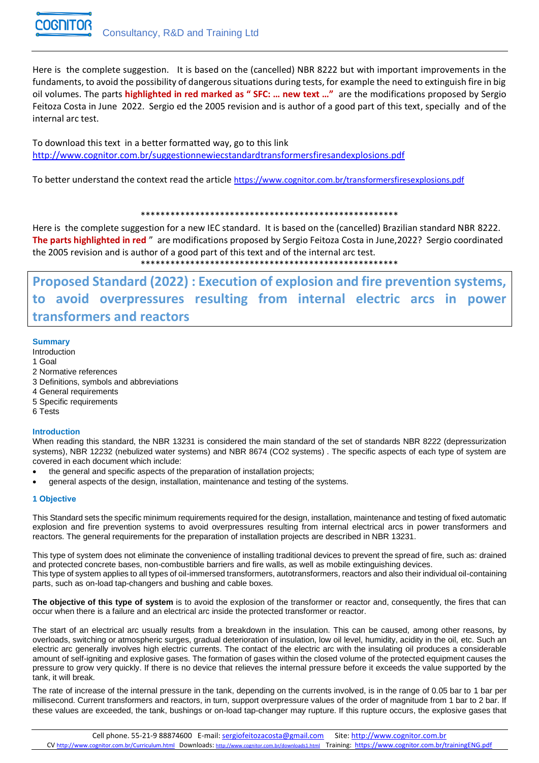

Here is the complete suggestion. It is based on the (cancelled) NBR 8222 but with important improvements in the fundaments, to avoid the possibility of dangerous situations during tests, for example the need to extinguish fire in big oil volumes. The parts **highlighted in red marked as " SFC: … new text …"** are the modifications proposed by Sergio Feitoza Costa in June 2022. Sergio ed the 2005 revision and is author of a good part of this text, specially and of the internal arc test.

To download this text in a better formatted way, go to this link <http://www.cognitor.com.br/suggestionnewiecstandardtransformersfiresandexplosions.pdf>

To better understand the context read the article <https://www.cognitor.com.br/transformersfiresexplosions.pdf>

#### \*\*\*\*\*\*\*\*\*\*\*\*\*\*\*\*\*\*\*\*\*\*\*\*\*\*\*\*\*\*\*\*\*\*\*\*\*\*\*\*\*\*\*\*\*\*\*\*\*\*\*\*

Here is the complete suggestion for a new IEC standard. It is based on the (cancelled) Brazilian standard NBR 8222. **The parts highlighted in red** " are modifications proposed by Sergio Feitoza Costa in June,2022? Sergio coordinated the 2005 revision and is author of a good part of this text and of the internal arc test. \*\*\*\*\*\*\*\*\*\*\*\*\*\*\*\*\*\*\*\*\*\*\*\*\*\*\*\*\*\*\*\*\*\*\*\*\*\*\*\*\*\*\*\*\*\*\*\*\*\*\*\*

**Proposed Standard (2022) : Execution of explosion and fire prevention systems, to avoid overpressures resulting from internal electric arcs in power transformers and reactors** 

#### **Summary**

Introduction

#### 1 Goal

- 2 Normative references
- 3 Definitions, symbols and abbreviations
- 4 General requirements
- 5 Specific requirements
- 6 Tests

#### **Introduction**

When reading this standard, the NBR 13231 is considered the main standard of the set of standards NBR 8222 (depressurization systems), NBR 12232 (nebulized water systems) and NBR 8674 (CO2 systems) . The specific aspects of each type of system are covered in each document which include:

- the general and specific aspects of the preparation of installation projects;
- general aspects of the design, installation, maintenance and testing of the systems.

#### **1 Objective**

This Standard sets the specific minimum requirements required for the design, installation, maintenance and testing of fixed automatic explosion and fire prevention systems to avoid overpressures resulting from internal electrical arcs in power transformers and reactors. The general requirements for the preparation of installation projects are described in NBR 13231.

This type of system does not eliminate the convenience of installing traditional devices to prevent the spread of fire, such as: drained and protected concrete bases, non-combustible barriers and fire walls, as well as mobile extinguishing devices. This type of system applies to all types of oil-immersed transformers, autotransformers, reactors and also their individual oil-containing parts, such as on-load tap-changers and bushing and cable boxes.

**The objective of this type of system** is to avoid the explosion of the transformer or reactor and, consequently, the fires that can occur when there is a failure and an electrical arc inside the protected transformer or reactor.

The start of an electrical arc usually results from a breakdown in the insulation. This can be caused, among other reasons, by overloads, switching or atmospheric surges, gradual deterioration of insulation, low oil level, humidity, acidity in the oil, etc. Such an electric arc generally involves high electric currents. The contact of the electric arc with the insulating oil produces a considerable amount of self-igniting and explosive gases. The formation of gases within the closed volume of the protected equipment causes the pressure to grow very quickly. If there is no device that relieves the internal pressure before it exceeds the value supported by the tank, it will break.

The rate of increase of the internal pressure in the tank, depending on the currents involved, is in the range of 0.05 bar to 1 bar per millisecond. Current transformers and reactors, in turn, support overpressure values of the order of magnitude from 1 bar to 2 bar. If these values are exceeded, the tank, bushings or on-load tap-changer may rupture. If this rupture occurs, the explosive gases that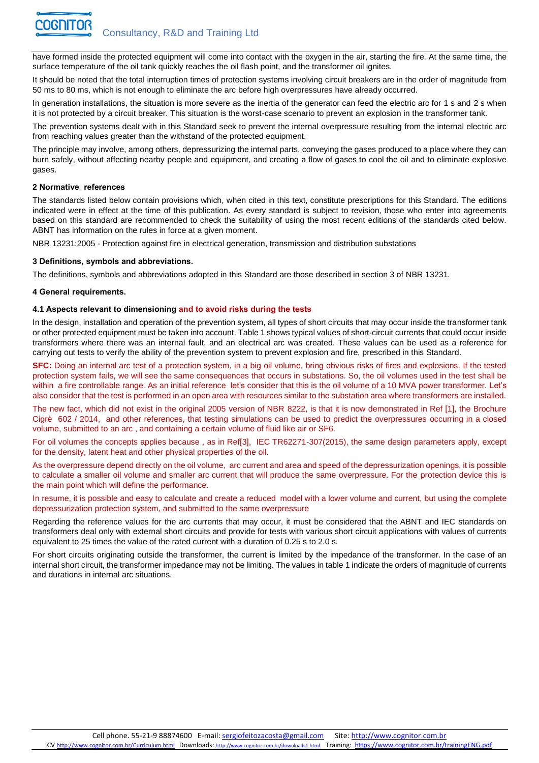have formed inside the protected equipment will come into contact with the oxygen in the air, starting the fire. At the same time, the surface temperature of the oil tank quickly reaches the oil flash point, and the transformer oil ignites.

It should be noted that the total interruption times of protection systems involving circuit breakers are in the order of magnitude from 50 ms to 80 ms, which is not enough to eliminate the arc before high overpressures have already occurred.

In generation installations, the situation is more severe as the inertia of the generator can feed the electric arc for 1 s and 2 s when it is not protected by a circuit breaker. This situation is the worst-case scenario to prevent an explosion in the transformer tank.

The prevention systems dealt with in this Standard seek to prevent the internal overpressure resulting from the internal electric arc from reaching values greater than the withstand of the protected equipment.

The principle may involve, among others, depressurizing the internal parts, conveying the gases produced to a place where they can burn safely, without affecting nearby people and equipment, and creating a flow of gases to cool the oil and to eliminate explosive gases.

#### **2 Normative references**

The standards listed below contain provisions which, when cited in this text, constitute prescriptions for this Standard. The editions indicated were in effect at the time of this publication. As every standard is subject to revision, those who enter into agreements based on this standard are recommended to check the suitability of using the most recent editions of the standards cited below. ABNT has information on the rules in force at a given moment.

NBR 13231:2005 - Protection against fire in electrical generation, transmission and distribution substations

#### **3 Definitions, symbols and abbreviations.**

The definitions, symbols and abbreviations adopted in this Standard are those described in section 3 of NBR 13231.

#### **4 General requirements.**

#### **4.1 Aspects relevant to dimensioning and to avoid risks during the tests**

In the design, installation and operation of the prevention system, all types of short circuits that may occur inside the transformer tank or other protected equipment must be taken into account. Table 1 shows typical values of short-circuit currents that could occur inside transformers where there was an internal fault, and an electrical arc was created. These values can be used as a reference for carrying out tests to verify the ability of the prevention system to prevent explosion and fire, prescribed in this Standard.

**SFC:** Doing an internal arc test of a protection system, in a big oil volume, bring obvious risks of fires and explosions. If the tested protection system fails, we will see the same consequences that occurs in substations. So, the oil volumes used in the test shall be within a fire controllable range. As an initial reference let's consider that this is the oil volume of a 10 MVA power transformer. Let's also consider that the test is performed in an open area with resources similar to the substation area where transformers are installed.

The new fact, which did not exist in the original 2005 version of NBR 8222, is that it is now demonstrated in Ref [1], the Brochure Cigrè 602 / 2014, and other references, that testing simulations can be used to predict the overpressures occurring in a closed volume, submitted to an arc , and containing a certain volume of fluid like air or SF6.

For oil volumes the concepts applies because , as in Ref[3], IEC TR62271-307(2015), the same design parameters apply, except for the density, latent heat and other physical properties of the oil.

As the overpressure depend directly on the oil volume, arc current and area and speed of the depressurization openings, it is possible to calculate a smaller oil volume and smaller arc current that will produce the same overpressure. For the protection device this is the main point which will define the performance.

In resume, it is possible and easy to calculate and create a reduced model with a lower volume and current, but using the complete depressurization protection system, and submitted to the same overpressure

Regarding the reference values for the arc currents that may occur, it must be considered that the ABNT and IEC standards on transformers deal only with external short circuits and provide for tests with various short circuit applications with values of currents equivalent to 25 times the value of the rated current with a duration of 0.25 s to 2.0 s.

For short circuits originating outside the transformer, the current is limited by the impedance of the transformer. In the case of an internal short circuit, the transformer impedance may not be limiting. The values in table 1 indicate the orders of magnitude of currents and durations in internal arc situations.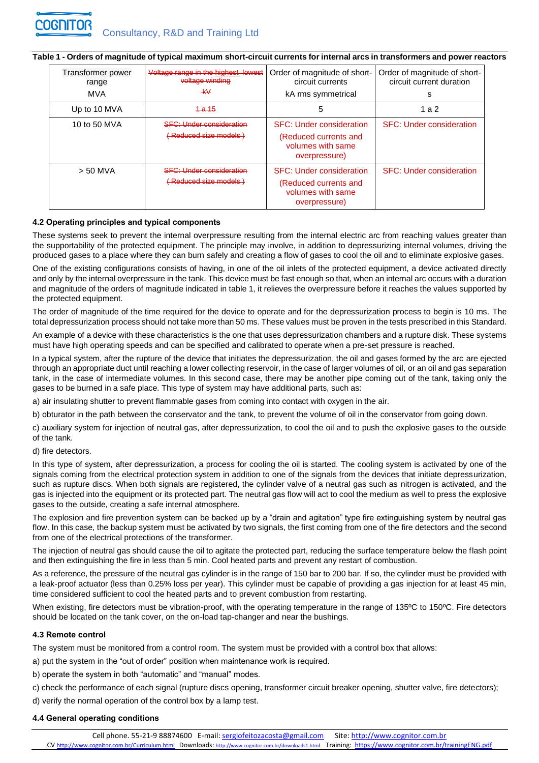#### **Table 1 - Orders of magnitude of typical maximum short-circuit currents for internal arcs in transformers and power reactors**

| Transformer power<br>range<br><b>MVA</b> | Voltage range in the highest lowest<br>voltage winding<br>–kV       | Order of magnitude of short-<br>circuit currents<br>kA rms symmetrical                         | Order of magnitude of short-<br>circuit current duration<br>s |
|------------------------------------------|---------------------------------------------------------------------|------------------------------------------------------------------------------------------------|---------------------------------------------------------------|
| Up to 10 MVA                             | $1 - a 15$                                                          | 5                                                                                              | 1 a 2                                                         |
| 10 to 50 MVA                             | <b>SFC: Under consideration</b><br><del>(Reduced size models)</del> | <b>SFC: Under consideration</b><br>(Reduced currents and<br>volumes with same<br>overpressure) | <b>SFC: Under consideration</b>                               |
| $> 50$ MVA                               | <b>SEC: Under consideration</b><br><u>  ( Reduced size models )</u> | <b>SFC: Under consideration</b><br>(Reduced currents and<br>volumes with same<br>overpressure) | <b>SFC: Under consideration</b>                               |

#### **4.2 Operating principles and typical components**

These systems seek to prevent the internal overpressure resulting from the internal electric arc from reaching values greater than the supportability of the protected equipment. The principle may involve, in addition to depressurizing internal volumes, driving the produced gases to a place where they can burn safely and creating a flow of gases to cool the oil and to eliminate explosive gases.

One of the existing configurations consists of having, in one of the oil inlets of the protected equipment, a device activated directly and only by the internal overpressure in the tank. This device must be fast enough so that, when an internal arc occurs with a duration and magnitude of the orders of magnitude indicated in table 1, it relieves the overpressure before it reaches the values supported by the protected equipment.

The order of magnitude of the time required for the device to operate and for the depressurization process to begin is 10 ms. The total depressurization process should not take more than 50 ms. These values must be proven in the tests prescribed in this Standard.

An example of a device with these characteristics is the one that uses depressurization chambers and a rupture disk. These systems must have high operating speeds and can be specified and calibrated to operate when a pre-set pressure is reached.

In a typical system, after the rupture of the device that initiates the depressurization, the oil and gases formed by the arc are ejected through an appropriate duct until reaching a lower collecting reservoir, in the case of larger volumes of oil, or an oil and gas separation tank, in the case of intermediate volumes. In this second case, there may be another pipe coming out of the tank, taking only the gases to be burned in a safe place. This type of system may have additional parts, such as:

a) air insulating shutter to prevent flammable gases from coming into contact with oxygen in the air.

b) obturator in the path between the conservator and the tank, to prevent the volume of oil in the conservator from going down.

c) auxiliary system for injection of neutral gas, after depressurization, to cool the oil and to push the explosive gases to the outside of the tank.

#### d) fire detectors.

In this type of system, after depressurization, a process for cooling the oil is started. The cooling system is activated by one of the signals coming from the electrical protection system in addition to one of the signals from the devices that initiate depressurization, such as rupture discs. When both signals are registered, the cylinder valve of a neutral gas such as nitrogen is activated, and the gas is injected into the equipment or its protected part. The neutral gas flow will act to cool the medium as well to press the explosive gases to the outside, creating a safe internal atmosphere.

The explosion and fire prevention system can be backed up by a "drain and agitation" type fire extinguishing system by neutral gas flow. In this case, the backup system must be activated by two signals, the first coming from one of the fire detectors and the second from one of the electrical protections of the transformer.

The injection of neutral gas should cause the oil to agitate the protected part, reducing the surface temperature below the flash point and then extinguishing the fire in less than 5 min. Cool heated parts and prevent any restart of combustion.

As a reference, the pressure of the neutral gas cylinder is in the range of 150 bar to 200 bar. If so, the cylinder must be provided with a leak-proof actuator (less than 0.25% loss per year). This cylinder must be capable of providing a gas injection for at least 45 min, time considered sufficient to cool the heated parts and to prevent combustion from restarting.

When existing, fire detectors must be vibration-proof, with the operating temperature in the range of 135°C to 150°C. Fire detectors should be located on the tank cover, on the on-load tap-changer and near the bushings.

#### **4.3 Remote control**

The system must be monitored from a control room. The system must be provided with a control box that allows:

a) put the system in the "out of order" position when maintenance work is required.

b) operate the system in both "automatic" and "manual" modes.

c) check the performance of each signal (rupture discs opening, transformer circuit breaker opening, shutter valve, fire detectors);

d) verify the normal operation of the control box by a lamp test.

#### **4.4 General operating conditions**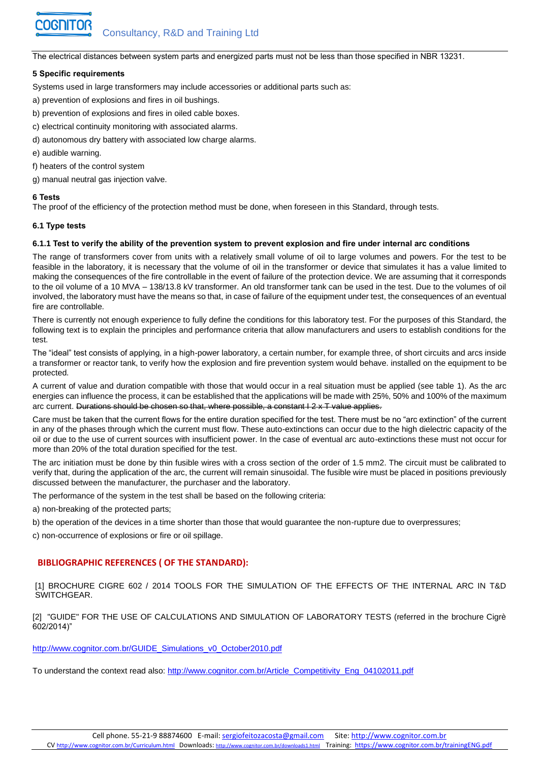The electrical distances between system parts and energized parts must not be less than those specified in NBR 13231.

#### **5 Specific requirements**

Systems used in large transformers may include accessories or additional parts such as:

- a) prevention of explosions and fires in oil bushings.
- b) prevention of explosions and fires in oiled cable boxes.
- c) electrical continuity monitoring with associated alarms.
- d) autonomous dry battery with associated low charge alarms.
- e) audible warning.
- f) heaters of the control system
- g) manual neutral gas injection valve.

#### **6 Tests**

The proof of the efficiency of the protection method must be done, when foreseen in this Standard, through tests.

#### **6.1 Type tests**

#### **6.1.1 Test to verify the ability of the prevention system to prevent explosion and fire under internal arc conditions**

The range of transformers cover from units with a relatively small volume of oil to large volumes and powers. For the test to be feasible in the laboratory, it is necessary that the volume of oil in the transformer or device that simulates it has a value limited to making the consequences of the fire controllable in the event of failure of the protection device. We are assuming that it corresponds to the oil volume of a 10 MVA – 138/13.8 kV transformer. An old transformer tank can be used in the test. Due to the volumes of oil involved, the laboratory must have the means so that, in case of failure of the equipment under test, the consequences of an eventual fire are controllable.

There is currently not enough experience to fully define the conditions for this laboratory test. For the purposes of this Standard, the following text is to explain the principles and performance criteria that allow manufacturers and users to establish conditions for the test.

The "ideal" test consists of applying, in a high-power laboratory, a certain number, for example three, of short circuits and arcs inside a transformer or reactor tank, to verify how the explosion and fire prevention system would behave. installed on the equipment to be protected.

A current of value and duration compatible with those that would occur in a real situation must be applied (see table 1). As the arc energies can influence the process, it can be established that the applications will be made with 25%, 50% and 100% of the maximum arc current. Durations should be chosen so that, where possible, a constant I 2 x T value applies.

Care must be taken that the current flows for the entire duration specified for the test. There must be no "arc extinction" of the current in any of the phases through which the current must flow. These auto-extinctions can occur due to the high dielectric capacity of the oil or due to the use of current sources with insufficient power. In the case of eventual arc auto-extinctions these must not occur for more than 20% of the total duration specified for the test.

The arc initiation must be done by thin fusible wires with a cross section of the order of 1.5 mm2. The circuit must be calibrated to verify that, during the application of the arc, the current will remain sinusoidal. The fusible wire must be placed in positions previously discussed between the manufacturer, the purchaser and the laboratory.

The performance of the system in the test shall be based on the following criteria:

a) non-breaking of the protected parts;

b) the operation of the devices in a time shorter than those that would guarantee the non-rupture due to overpressures;

c) non-occurrence of explosions or fire or oil spillage.

## **BIBLIOGRAPHIC REFERENCES ( OF THE STANDARD):**

[1] BROCHURE CIGRE 602 / 2014 TOOLS FOR THE SIMULATION OF THE EFFECTS OF THE INTERNAL ARC IN T&D SWITCHGEAR.

[2] "GUIDE" FOR THE USE OF CALCULATIONS AND SIMULATION OF LABORATORY TESTS (referred in the brochure Cigrè 602/2014)"

[http://www.cognitor.com.br/GUIDE\\_Simulations\\_v0\\_October2010.pdf](http://www.cognitor.com.br/GUIDE_Simulations_v0_October2010.pdf)

To understand the context read also: [http://www.cognitor.com.br/Article\\_Competitivity\\_Eng\\_04102011.pdf](http://www.cognitor.com.br/Article_Competitivity_Eng_04102011.pdf)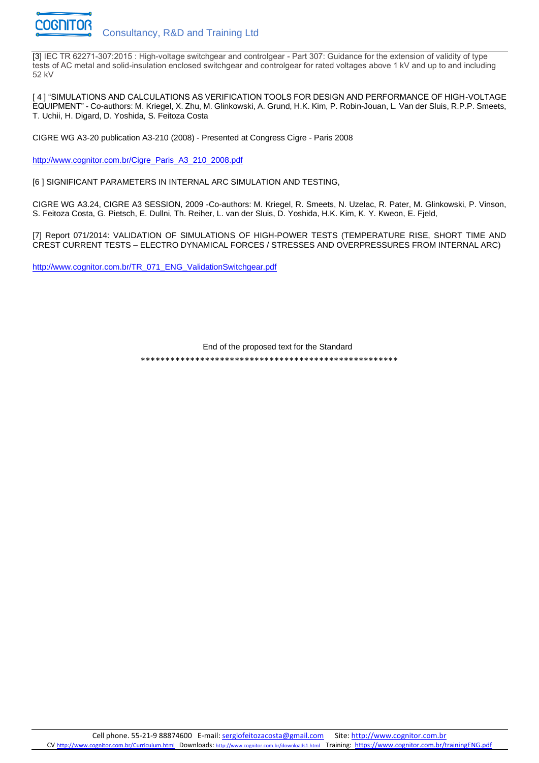

[3] IEC TR 62271-307:2015 : High-voltage switchgear and controlgear - Part 307: Guidance for the extension of validity of type tests of AC metal and solid-insulation enclosed switchgear and controlgear for rated voltages above 1 kV and up to and including 52 kV

[ 4 ] "SIMULATIONS AND CALCULATIONS AS VERIFICATION TOOLS FOR DESIGN AND PERFORMANCE OF HIGH-VOLTAGE EQUIPMENT" - Co-authors: M. Kriegel, X. Zhu, M. Glinkowski, A. Grund, H.K. Kim, P. Robin-Jouan, L. Van der Sluis, R.P.P. Smeets, T. Uchii, H. Digard, D. Yoshida, S. Feitoza Costa

CIGRE WG A3-20 publication A3-210 (2008) - Presented at Congress Cigre - Paris 2008

[http://www.cognitor.com.br/Cigre\\_Paris\\_A3\\_210\\_2008.pdf](http://www.cognitor.com.br/Cigre_Paris_A3_210_2008.pdf)

[6] SIGNIFICANT PARAMETERS IN INTERNAL ARC SIMULATION AND TESTING,

CIGRE WG A3.24, CIGRE A3 SESSION, 2009 -Co-authors: M. Kriegel, R. Smeets, N. Uzelac, R. Pater, M. Glinkowski, P. Vinson, S. Feitoza Costa, G. Pietsch, E. Dullni, Th. Reiher, L. van der Sluis, D. Yoshida, H.K. Kim, K. Y. Kweon, E. Fjeld,

[7] Report 071/2014: VALIDATION OF SIMULATIONS OF HIGH-POWER TESTS (TEMPERATURE RISE, SHORT TIME AND CREST CURRENT TESTS – ELECTRO DYNAMICAL FORCES / STRESSES AND OVERPRESSURES FROM INTERNAL ARC)

[http://www.cognitor.com.br/TR\\_071\\_ENG\\_ValidationSwitchgear.pdf](http://www.cognitor.com.br/TR_071_ENG_ValidationSwitchgear.pdf)

End of the proposed text for the Standard \*\*\*\*\*\*\*\*\*\*\*\*\*\*\*\*\*\*\*\*\*\*\*\*\*\*\*\*\*\*\*\*\*\*\*\*\*\*\*\*\*\*\*\*\*\*\*\*\*\*\*\*